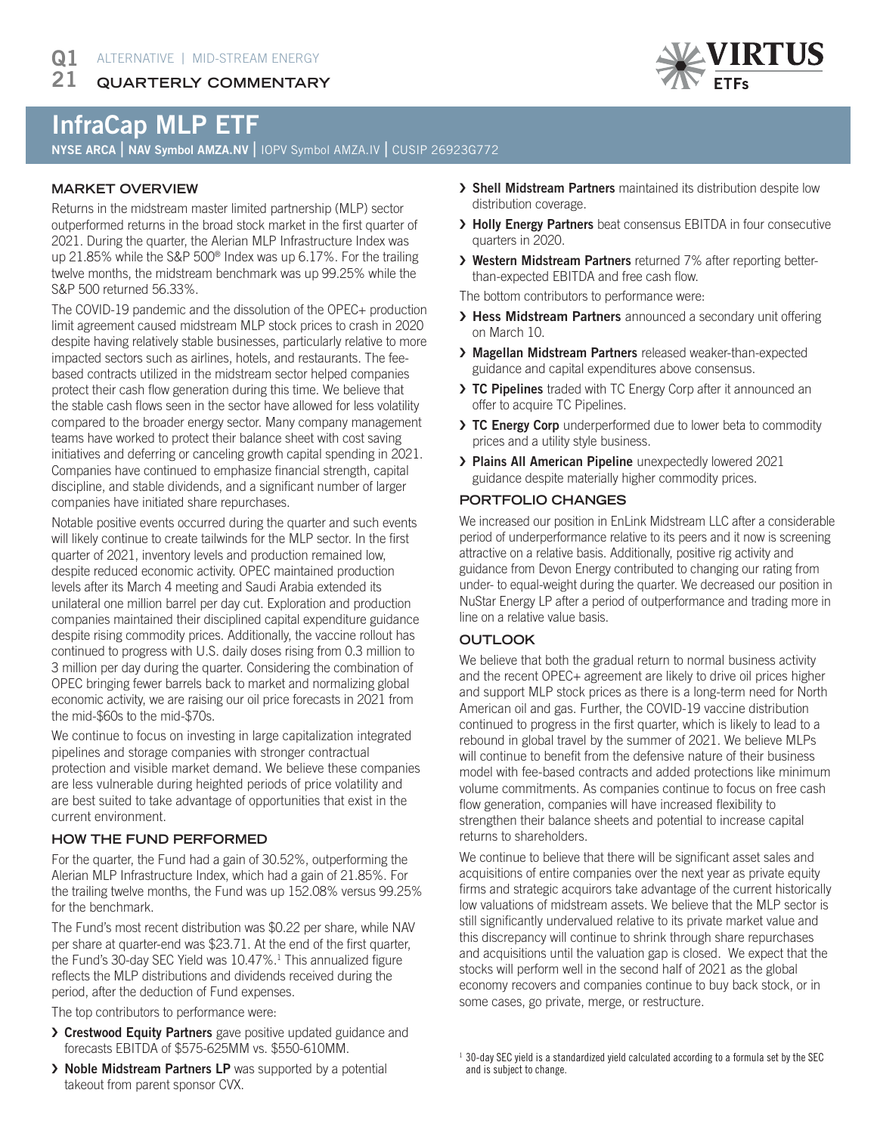**QUARTERLY COMMENTARY** 21



# InfraCap MLP ETF

NYSE ARCA | NAV Symbol AMZA.NV | IOPV Symbol AMZA.IV | CUSIP 26923G772

### **MARKET OVERVIEW**

Returns in the midstream master limited partnership (MLP) sector outperformed returns in the broad stock market in the first quarter of 2021. During the quarter, the Alerian MLP Infrastructure Index was up 21.85% while the S&P 500® Index was up 6.17%. For the trailing twelve months, the midstream benchmark was up 99.25% while the S&P 500 returned 56.33%.

The COVID-19 pandemic and the dissolution of the OPEC+ production limit agreement caused midstream MLP stock prices to crash in 2020 despite having relatively stable businesses, particularly relative to more impacted sectors such as airlines, hotels, and restaurants. The feebased contracts utilized in the midstream sector helped companies protect their cash flow generation during this time. We believe that the stable cash flows seen in the sector have allowed for less volatility compared to the broader energy sector. Many company management teams have worked to protect their balance sheet with cost saving initiatives and deferring or canceling growth capital spending in 2021. Companies have continued to emphasize financial strength, capital discipline, and stable dividends, and a significant number of larger companies have initiated share repurchases.

Notable positive events occurred during the quarter and such events will likely continue to create tailwinds for the MLP sector. In the first quarter of 2021, inventory levels and production remained low, despite reduced economic activity. OPEC maintained production levels after its March 4 meeting and Saudi Arabia extended its unilateral one million barrel per day cut. Exploration and production companies maintained their disciplined capital expenditure guidance despite rising commodity prices. Additionally, the vaccine rollout has continued to progress with U.S. daily doses rising from 0.3 million to 3 million per day during the quarter. Considering the combination of OPEC bringing fewer barrels back to market and normalizing global economic activity, we are raising our oil price forecasts in 2021 from the mid-\$60s to the mid-\$70s.

We continue to focus on investing in large capitalization integrated pipelines and storage companies with stronger contractual protection and visible market demand. We believe these companies are less vulnerable during heighted periods of price volatility and are best suited to take advantage of opportunities that exist in the current environment.

#### **HOW THE FUND PERFORMED**

For the quarter, the Fund had a gain of 30.52%, outperforming the Alerian MLP Infrastructure Index, which had a gain of 21.85%. For the trailing twelve months, the Fund was up 152.08% versus 99.25% for the benchmark.

The Fund's most recent distribution was \$0.22 per share, while NAV per share at quarter-end was \$23.71. At the end of the first quarter, the Fund's 30-day SEC Yield was 10.47%.<sup>1</sup> This annualized figure reflects the MLP distributions and dividends received during the period, after the deduction of Fund expenses.

The top contributors to performance were:

- › Crestwood Equity Partners gave positive updated guidance and forecasts EBITDA of \$575-625MM vs. \$550-610MM.
- › Noble Midstream Partners LP was supported by a potential takeout from parent sponsor CVX.
- › Shell Midstream Partners maintained its distribution despite low distribution coverage.
- > Holly Energy Partners beat consensus EBITDA in four consecutive quarters in 2020.
- › Western Midstream Partners returned 7% after reporting betterthan-expected EBITDA and free cash flow.

The bottom contributors to performance were:

- > Hess Midstream Partners announced a secondary unit offering on March 10.
- › Magellan Midstream Partners released weaker-than-expected guidance and capital expenditures above consensus.
- > TC Pipelines traded with TC Energy Corp after it announced an offer to acquire TC Pipelines.
- > TC Energy Corp underperformed due to lower beta to commodity prices and a utility style business.
- › Plains All American Pipeline unexpectedly lowered 2021 guidance despite materially higher commodity prices.

#### **PORTFOLIO CHANGES**

We increased our position in EnLink Midstream LLC after a considerable period of underperformance relative to its peers and it now is screening attractive on a relative basis. Additionally, positive rig activity and guidance from Devon Energy contributed to changing our rating from under- to equal-weight during the quarter. We decreased our position in NuStar Energy LP after a period of outperformance and trading more in line on a relative value basis.

#### **OUTLOOK**

We believe that both the gradual return to normal business activity and the recent OPEC+ agreement are likely to drive oil prices higher and support MLP stock prices as there is a long-term need for North American oil and gas. Further, the COVID-19 vaccine distribution continued to progress in the first quarter, which is likely to lead to a rebound in global travel by the summer of 2021. We believe MLPs will continue to benefit from the defensive nature of their business model with fee-based contracts and added protections like minimum volume commitments. As companies continue to focus on free cash flow generation, companies will have increased flexibility to strengthen their balance sheets and potential to increase capital returns to shareholders.

We continue to believe that there will be significant asset sales and acquisitions of entire companies over the next year as private equity firms and strategic acquirors take advantage of the current historically low valuations of midstream assets. We believe that the MLP sector is still significantly undervalued relative to its private market value and this discrepancy will continue to shrink through share repurchases and acquisitions until the valuation gap is closed. We expect that the stocks will perform well in the second half of 2021 as the global economy recovers and companies continue to buy back stock, or in some cases, go private, merge, or restructure.

<sup>&</sup>lt;sup>1</sup> 30-day SEC yield is a standardized yield calculated according to a formula set by the SEC and is subject to change.